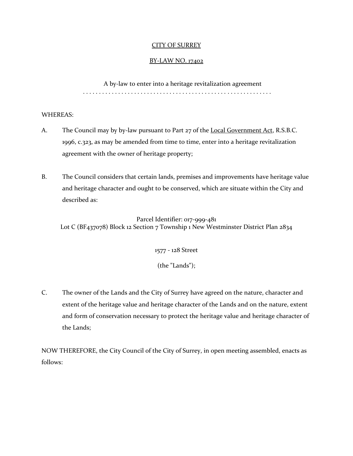### CITY OF SURREY

# BY-LAW NO. 17402

A by-law to enter into a heritage revitalization agreement . . . . . . . . . . . . . . . . . . . . . . . . . . . . . . . . . . . . . . . . . . . . . . . . . . . . . . . . . . .

### WHEREAS:

- A. The Council may by by-law pursuant to Part 27 of the Local Government Act, R.S.B.C. 1996, c.323, as may be amended from time to time, enter into a heritage revitalization agreement with the owner of heritage property;
- B. The Council considers that certain lands, premises and improvements have heritage value and heritage character and ought to be conserved, which are situate within the City and described as:

Parcel Identifier: 017-999-481 Lot C (BF437078) Block 12 Section 7 Township 1 New Westminster District Plan 2834

1577 - 128 Street

(the "Lands");

C. The owner of the Lands and the City of Surrey have agreed on the nature, character and extent of the heritage value and heritage character of the Lands and on the nature, extent and form of conservation necessary to protect the heritage value and heritage character of the Lands;

NOW THEREFORE, the City Council of the City of Surrey, in open meeting assembled, enacts as follows: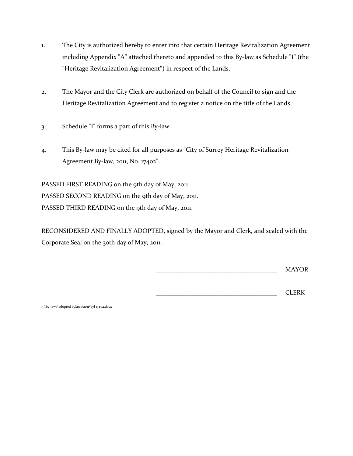- 1. The City is authorized hereby to enter into that certain Heritage Revitalization Agreement including Appendix "A" attached thereto and appended to this By-law as Schedule "I" (the "Heritage Revitalization Agreement") in respect of the Lands.
- 2. The Mayor and the City Clerk are authorized on behalf of the Council to sign and the Heritage Revitalization Agreement and to register a notice on the title of the Lands.
- 3. Schedule "I" forms a part of this By-law.
- 4. This By-law may be cited for all purposes as "City of Surrey Heritage Revitalization Agreement By-law, 2011, No. 17402".

PASSED FIRST READING on the 9th day of May, 2011. PASSED SECOND READING on the 9th day of May, 2011. PASSED THIRD READING on the 9th day of May, 2011.

RECONSIDERED AND FINALLY ADOPTED, signed by the Mayor and Clerk, and sealed with the Corporate Seal on the 30th day of May, 2011.

\_\_\_\_\_\_\_\_\_\_\_\_\_\_\_\_\_\_\_\_\_\_\_\_\_\_\_\_\_\_\_\_\_\_\_\_\_\_ MAYOR

\_\_\_\_\_\_\_\_\_\_\_\_\_\_\_\_\_\_\_\_\_\_\_\_\_\_\_\_\_\_\_\_\_\_\_\_\_\_ CLERK

h:\by-laws\adopted bylaws\2011\byl 17402.docx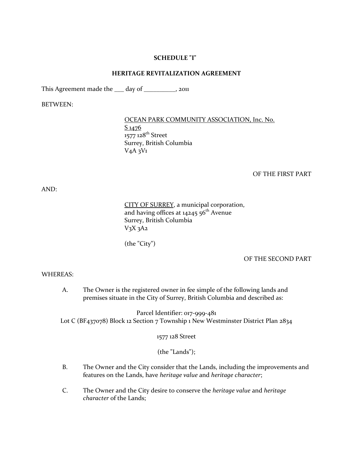#### **SCHEDULE "I"**

#### **HERITAGE REVITALIZATION AGREEMENT**

This Agreement made the \_\_\_ day of \_\_\_\_\_\_\_\_\_, 2011

BETWEEN:

#### OCEAN PARK COMMUNITY ASSOCIATION, Inc. No.

S 1476 1577 128<sup>th</sup> Street Surrey, British Columbia  $V_4A_3V_1$ 

#### OF THE FIRST PART

AND:

CITY OF SURREY, a municipal corporation, and having offices at  $14245.56^{\text{th}}$  Avenue Surrey, British Columbia  $V<sub>3</sub>X<sub>3</sub>A<sub>2</sub>$ 

(the "City")

#### OF THE SECOND PART

#### WHEREAS:

A. The Owner is the registered owner in fee simple of the following lands and premises situate in the City of Surrey, British Columbia and described as:

Parcel Identifier: 017-999-481 Lot C (BF437078) Block 12 Section 7 Township 1 New Westminster District Plan 2834

1577 128 Street

(the "Lands");

- B. The Owner and the City consider that the Lands, including the improvements and features on the Lands, have *heritage value* and *heritage character*;
- C. The Owner and the City desire to conserve the *heritage value* and *heritage character* of the Lands;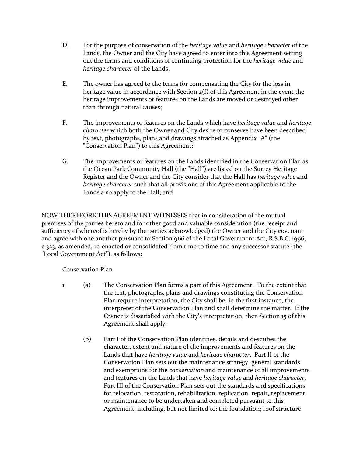- D. For the purpose of conservation of the *heritage value* and *heritage character* of the Lands, the Owner and the City have agreed to enter into this Agreement setting out the terms and conditions of continuing protection for the *heritage value* and *heritage character* of the Lands;
- E. The owner has agreed to the terms for compensating the City for the loss in heritage value in accordance with Section 2(f) of this Agreement in the event the heritage improvements or features on the Lands are moved or destroyed other than through natural causes;
- F. The improvements or features on the Lands which have *heritage value* and *heritage character* which both the Owner and City desire to conserve have been described by text, photographs, plans and drawings attached as Appendix "A" (the "Conservation Plan") to this Agreement;
- G. The improvements or features on the Lands identified in the Conservation Plan as the Ocean Park Community Hall (the "Hall") are listed on the Surrey Heritage Register and the Owner and the City consider that the Hall has *heritage value* and *heritage character* such that all provisions of this Agreement applicable to the Lands also apply to the Hall; and

NOW THEREFORE THIS AGREEMENT WITNESSES that in consideration of the mutual premises of the parties hereto and for other good and valuable consideration (the receipt and sufficiency of whereof is hereby by the parties acknowledged) the Owner and the City covenant and agree with one another pursuant to Section 966 of the Local Government Act, R.S.B.C. 1996, c.323, as amended, re-enacted or consolidated from time to time and any successor statute (the "Local Government Act"), as follows:

# Conservation Plan

- 1. (a) The Conservation Plan forms a part of this Agreement. To the extent that the text, photographs, plans and drawings constituting the Conservation Plan require interpretation, the City shall be, in the first instance, the interpreter of the Conservation Plan and shall determine the matter. If the Owner is dissatisfied with the City's interpretation, then Section 15 of this Agreement shall apply.
	- (b) Part I of the Conservation Plan identifies, details and describes the character, extent and nature of the improvements and features on the Lands that have *heritage value* and *heritage character*. Part II of the Conservation Plan sets out the maintenance strategy, general standards and exemptions for the *conservation* and maintenance of all improvements and features on the Lands that have *heritage value* and *heritage character*. Part III of the Conservation Plan sets out the standards and specifications for relocation, restoration, rehabilitation, replication, repair, replacement or maintenance to be undertaken and completed pursuant to this Agreement, including, but not limited to: the foundation; roof structure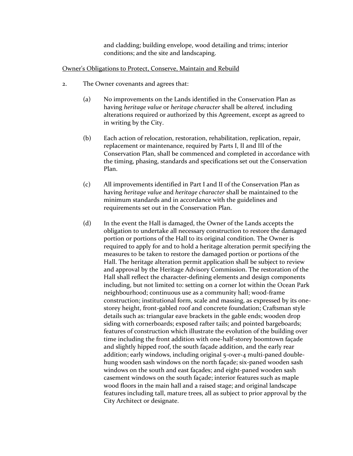and cladding; building envelope, wood detailing and trims; interior conditions; and the site and landscaping.

#### Owner's Obligations to Protect, Conserve, Maintain and Rebuild

- 2. The Owner covenants and agrees that:
	- (a) No improvements on the Lands identified in the Conservation Plan as having *heritage value* or *heritage character* shall be *altered,* including alterations required or authorized by this Agreement, except as agreed to in writing by the City.
	- (b) Each action of relocation, restoration, rehabilitation, replication, repair, replacement or maintenance, required by Parts I, II and III of the Conservation Plan, shall be commenced and completed in accordance with the timing, phasing, standards and specifications set out the Conservation Plan.
	- (c) All improvements identified in Part I and II of the Conservation Plan as having *heritage value* and *heritage character* shall be maintained to the minimum standards and in accordance with the guidelines and requirements set out in the Conservation Plan.
	- (d) In the event the Hall is damaged, the Owner of the Lands accepts the obligation to undertake all necessary construction to restore the damaged portion or portions of the Hall to its original condition. The Owner is required to apply for and to hold a heritage alteration permit specifying the measures to be taken to restore the damaged portion or portions of the Hall. The heritage alteration permit application shall be subject to review and approval by the Heritage Advisory Commission. The restoration of the Hall shall reflect the character-defining elements and design components including, but not limited to: setting on a corner lot within the Ocean Park neighbourhood; continuous use as a community hall; wood-frame construction; institutional form, scale and massing, as expressed by its onestorey height, front-gabled roof and concrete foundation; Craftsman style details such as: triangular eave brackets in the gable ends; wooden drop siding with cornerboards; exposed rafter tails; and pointed bargeboards; features of construction which illustrate the evolution of the building over time including the front addition with one-half-storey boomtown façade and slightly hipped roof, the south façade addition, and the early rear addition; early windows, including original 5-over-4 multi-paned doublehung wooden sash windows on the north façade; six-paned wooden sash windows on the south and east façades; and eight-paned wooden sash casement windows on the south façade; interior features such as maple wood floors in the main hall and a raised stage; and original landscape features including tall, mature trees, all as subject to prior approval by the City Architect or designate.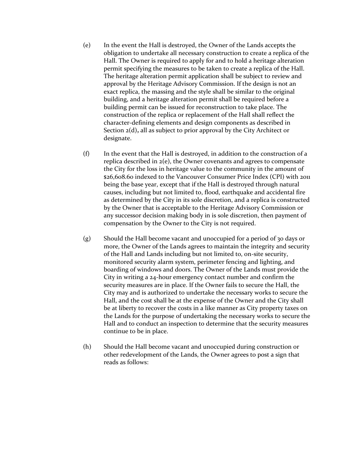- (e) In the event the Hall is destroyed, the Owner of the Lands accepts the obligation to undertake all necessary construction to create a replica of the Hall. The Owner is required to apply for and to hold a heritage alteration permit specifying the measures to be taken to create a replica of the Hall. The heritage alteration permit application shall be subject to review and approval by the Heritage Advisory Commission. If the design is not an exact replica, the massing and the style shall be similar to the original building, and a heritage alteration permit shall be required before a building permit can be issued for reconstruction to take place. The construction of the replica or replacement of the Hall shall reflect the character-defining elements and design components as described in Section 2(d)**,** all as subject to prior approval by the City Architect or designate.
- (f) In the event that the Hall is destroyed, in addition to the construction of a replica described in 2(e), the Owner covenants and agrees to compensate the City for the loss in heritage value to the community in the amount of \$26,608.60 indexed to the Vancouver Consumer Price Index (CPI) with 2011 being the base year, except that if the Hall is destroyed through natural causes, including but not limited to, flood, earthquake and accidental fire as determined by the City in its sole discretion, and a replica is constructed by the Owner that is acceptable to the Heritage Advisory Commission or any successor decision making body in is sole discretion, then payment of compensation by the Owner to the City is not required.
- (g) Should the Hall become vacant and unoccupied for a period of 30 days or more, the Owner of the Lands agrees to maintain the integrity and security of the Hall and Lands including but not limited to, on-site security, monitored security alarm system, perimeter fencing and lighting, and boarding of windows and doors. The Owner of the Lands must provide the City in writing a 24-hour emergency contact number and confirm the security measures are in place. If the Owner fails to secure the Hall, the City may and is authorized to undertake the necessary works to secure the Hall, and the cost shall be at the expense of the Owner and the City shall be at liberty to recover the costs in a like manner as City property taxes on the Lands for the purpose of undertaking the necessary works to secure the Hall and to conduct an inspection to determine that the security measures continue to be in place.
- (h) Should the Hall become vacant and unoccupied during construction or other redevelopment of the Lands, the Owner agrees to post a sign that reads as follows: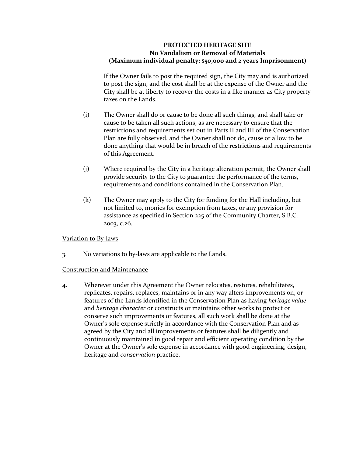### **PROTECTED HERITAGE SITE No Vandalism or Removal of Materials (Maximum individual penalty: \$50,000 and 2 years Imprisonment)**

If the Owner fails to post the required sign, the City may and is authorized to post the sign, and the cost shall be at the expense of the Owner and the City shall be at liberty to recover the costs in a like manner as City property taxes on the Lands.

- (i) The Owner shall do or cause to be done all such things, and shall take or cause to be taken all such actions, as are necessary to ensure that the restrictions and requirements set out in Parts II and III of the Conservation Plan are fully observed, and the Owner shall not do, cause or allow to be done anything that would be in breach of the restrictions and requirements of this Agreement.
- (j) Where required by the City in a heritage alteration permit, the Owner shall provide security to the City to guarantee the performance of the terms, requirements and conditions contained in the Conservation Plan.
- (k) The Owner may apply to the City for funding for the Hall including, but not limited to, monies for exemption from taxes, or any provision for assistance as specified in Section 225 of the Community Charter, S.B.C. 2003, c.26.

### Variation to By-laws

3. No variations to by-laws are applicable to the Lands.

### Construction and Maintenance

4. Wherever under this Agreement the Owner relocates, restores, rehabilitates, replicates, repairs, replaces, maintains or in any way alters improvements on, or features of the Lands identified in the Conservation Plan as having *heritage value* and *heritage character* or constructs or maintains other works to protect or conserve such improvements or features, all such work shall be done at the Owner's sole expense strictly in accordance with the Conservation Plan and as agreed by the City and all improvements or features shall be diligently and continuously maintained in good repair and efficient operating condition by the Owner at the Owner's sole expense in accordance with good engineering, design, heritage and *conservation* practice.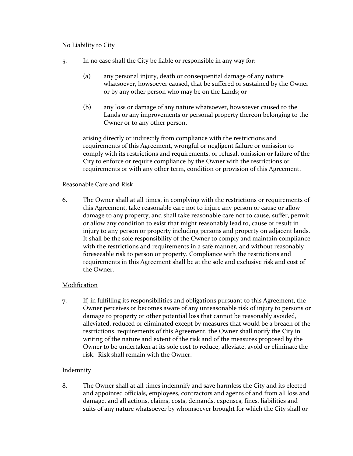### No Liability to City

- 5. In no case shall the City be liable or responsible in any way for:
	- (a) any personal injury, death or consequential damage of any nature whatsoever, howsoever caused, that be suffered or sustained by the Owner or by any other person who may be on the Lands; or
	- (b) any loss or damage of any nature whatsoever, howsoever caused to the Lands or any improvements or personal property thereon belonging to the Owner or to any other person,

arising directly or indirectly from compliance with the restrictions and requirements of this Agreement, wrongful or negligent failure or omission to comply with its restrictions and requirements, or refusal, omission or failure of the City to enforce or require compliance by the Owner with the restrictions or requirements or with any other term, condition or provision of this Agreement.

# Reasonable Care and Risk

6. The Owner shall at all times, in complying with the restrictions or requirements of this Agreement, take reasonable care not to injure any person or cause or allow damage to any property, and shall take reasonable care not to cause, suffer, permit or allow any condition to exist that might reasonably lead to, cause or result in injury to any person or property including persons and property on adjacent lands. It shall be the sole responsibility of the Owner to comply and maintain compliance with the restrictions and requirements in a safe manner, and without reasonably foreseeable risk to person or property. Compliance with the restrictions and requirements in this Agreement shall be at the sole and exclusive risk and cost of the Owner.

### **Modification**

7. If, in fulfilling its responsibilities and obligations pursuant to this Agreement, the Owner perceives or becomes aware of any unreasonable risk of injury to persons or damage to property or other potential loss that cannot be reasonably avoided, alleviated, reduced or eliminated except by measures that would be a breach of the restrictions, requirements of this Agreement, the Owner shall notify the City in writing of the nature and extent of the risk and of the measures proposed by the Owner to be undertaken at its sole cost to reduce, alleviate, avoid or eliminate the risk. Risk shall remain with the Owner.

# **Indemnity**

8. The Owner shall at all times indemnify and save harmless the City and its elected and appointed officials, employees, contractors and agents of and from all loss and damage, and all actions, claims, costs, demands, expenses, fines, liabilities and suits of any nature whatsoever by whomsoever brought for which the City shall or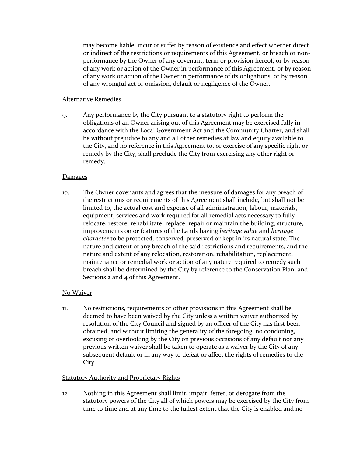may become liable, incur or suffer by reason of existence and effect whether direct or indirect of the restrictions or requirements of this Agreement, or breach or nonperformance by the Owner of any covenant, term or provision hereof, or by reason of any work or action of the Owner in performance of this Agreement, or by reason of any work or action of the Owner in performance of its obligations, or by reason of any wrongful act or omission, default or negligence of the Owner.

### Alternative Remedies

9. Any performance by the City pursuant to a statutory right to perform the obligations of an Owner arising out of this Agreement may be exercised fully in accordance with the Local Government Act and the Community Charter, and shall be without prejudice to any and all other remedies at law and equity available to the City, and no reference in this Agreement to, or exercise of any specific right or remedy by the City, shall preclude the City from exercising any other right or remedy.

# **Damages**

10. The Owner covenants and agrees that the measure of damages for any breach of the restrictions or requirements of this Agreement shall include, but shall not be limited to, the actual cost and expense of all administration, labour, materials, equipment, services and work required for all remedial acts necessary to fully relocate, restore, rehabilitate, replace, repair or maintain the building, structure, improvements on or features of the Lands having *heritage value* and *heritage character* to be protected, conserved, preserved or kept in its natural state. The nature and extent of any breach of the said restrictions and requirements, and the nature and extent of any relocation, restoration, rehabilitation, replacement, maintenance or remedial work or action of any nature required to remedy such breach shall be determined by the City by reference to the Conservation Plan, and Sections 2 and 4 of this Agreement.

# No Waiver

11. No restrictions, requirements or other provisions in this Agreement shall be deemed to have been waived by the City unless a written waiver authorized by resolution of the City Council and signed by an officer of the City has first been obtained, and without limiting the generality of the foregoing, no condoning, excusing or overlooking by the City on previous occasions of any default nor any previous written waiver shall be taken to operate as a waiver by the City of any subsequent default or in any way to defeat or affect the rights of remedies to the City.

# **Statutory Authority and Proprietary Rights**

12. Nothing in this Agreement shall limit, impair, fetter, or derogate from the statutory powers of the City all of which powers may be exercised by the City from time to time and at any time to the fullest extent that the City is enabled and no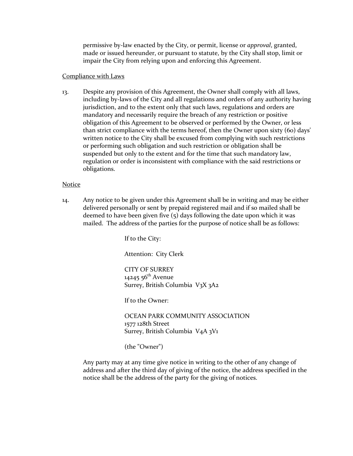permissive by-law enacted by the City, or permit, license or *approval*, granted, made or issued hereunder, or pursuant to statute, by the City shall stop, limit or impair the City from relying upon and enforcing this Agreement.

### Compliance with Laws

13. Despite any provision of this Agreement, the Owner shall comply with all laws, including by-laws of the City and all regulations and orders of any authority having jurisdiction, and to the extent only that such laws, regulations and orders are mandatory and necessarily require the breach of any restriction or positive obligation of this Agreement to be observed or performed by the Owner, or less than strict compliance with the terms hereof, then the Owner upon sixty (60) days' written notice to the City shall be excused from complying with such restrictions or performing such obligation and such restriction or obligation shall be suspended but only to the extent and for the time that such mandatory law, regulation or order is inconsistent with compliance with the said restrictions or obligations.

### Notice

14. Any notice to be given under this Agreement shall be in writing and may be either delivered personally or sent by prepaid registered mail and if so mailed shall be deemed to have been given five (5) days following the date upon which it was mailed. The address of the parties for the purpose of notice shall be as follows:

If to the City:

Attention: City Clerk

CITY OF SURREY 14245  $56^{th}$  Avenue Surrey, British Columbia V3X 3A2

If to the Owner:

OCEAN PARK COMMUNITY ASSOCIATION 1577 128th Street Surrey, British Columbia V4A 3V1

(the "Owner")

Any party may at any time give notice in writing to the other of any change of address and after the third day of giving of the notice, the address specified in the notice shall be the address of the party for the giving of notices.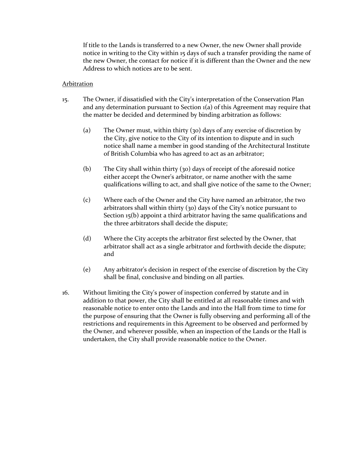If title to the Lands is transferred to a new Owner, the new Owner shall provide notice in writing to the City within 15 days of such a transfer providing the name of the new Owner, the contact for notice if it is different than the Owner and the new Address to which notices are to be sent.

#### Arbitration

- 15. The Owner, if dissatisfied with the City's interpretation of the Conservation Plan and any determination pursuant to Section 1(a) of this Agreement may require that the matter be decided and determined by binding arbitration as follows:
	- (a) The Owner must, within thirty (30) days of any exercise of discretion by the City, give notice to the City of its intention to dispute and in such notice shall name a member in good standing of the Architectural Institute of British Columbia who has agreed to act as an arbitrator;
	- (b) The City shall within thirty (30) days of receipt of the aforesaid notice either accept the Owner's arbitrator, or name another with the same qualifications willing to act, and shall give notice of the same to the Owner;
	- (c) Where each of the Owner and the City have named an arbitrator, the two arbitrators shall within thirty (30) days of the City's notice pursuant to Section 15(b) appoint a third arbitrator having the same qualifications and the three arbitrators shall decide the dispute;
	- (d) Where the City accepts the arbitrator first selected by the Owner, that arbitrator shall act as a single arbitrator and forthwith decide the dispute; and
	- (e) Any arbitrator's decision in respect of the exercise of discretion by the City shall be final, conclusive and binding on all parties.
- 16. Without limiting the City's power of inspection conferred by statute and in addition to that power, the City shall be entitled at all reasonable times and with reasonable notice to enter onto the Lands and into the Hall from time to time for the purpose of ensuring that the Owner is fully observing and performing all of the restrictions and requirements in this Agreement to be observed and performed by the Owner, and wherever possible, when an inspection of the Lands or the Hall is undertaken, the City shall provide reasonable notice to the Owner.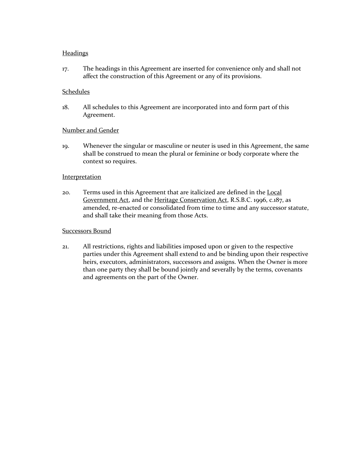### **Headings**

17. The headings in this Agreement are inserted for convenience only and shall not affect the construction of this Agreement or any of its provisions.

### Schedules

18. All schedules to this Agreement are incorporated into and form part of this Agreement.

### Number and Gender

19. Whenever the singular or masculine or neuter is used in this Agreement, the same shall be construed to mean the plural or feminine or body corporate where the context so requires.

#### **Interpretation**

20. Terms used in this Agreement that are italicized are defined in the Local Government Act, and the Heritage Conservation Act, R.S.B.C. 1996, c.187, as amended, re-enacted or consolidated from time to time and any successor statute, and shall take their meaning from those Acts.

### Successors Bound

21. All restrictions, rights and liabilities imposed upon or given to the respective parties under this Agreement shall extend to and be binding upon their respective heirs, executors, administrators, successors and assigns. When the Owner is more than one party they shall be bound jointly and severally by the terms, covenants and agreements on the part of the Owner.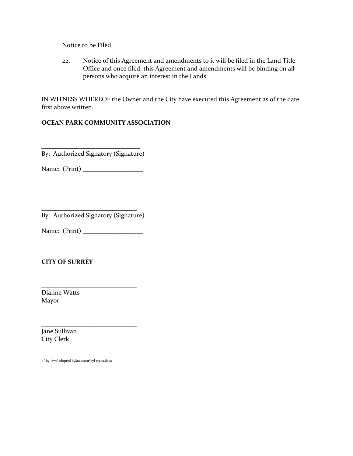#### Notice to be Filed

22. Notice of this Agreement and amendments to it will be filed in the Land Title Office and once filed, this Agreement and amendments will be binding on all persons who acquire an interest in the Lands

IN WITNESS WHEREOF the Owner and the City have executed this Agreement as of the date first above written.

### **OCEAN PARK COMMUNITY ASSOCIATION**

\_\_\_\_\_\_\_\_\_\_\_\_\_\_\_\_\_\_\_\_\_\_\_\_\_\_\_\_\_\_\_ By: Authorized Signatory (Signature)

Name: (Print) \_\_\_\_\_\_\_\_\_\_\_\_\_\_\_\_\_\_\_

| By: Authorized Signatory (Signature) |
|--------------------------------------|

Name: (Print) \_\_\_\_\_\_\_\_\_\_\_\_\_\_\_\_\_\_\_

\_\_\_\_\_\_\_\_\_\_\_\_\_\_\_\_\_\_\_\_\_\_\_\_\_\_\_\_\_\_

\_\_\_\_\_\_\_\_\_\_\_\_\_\_\_\_\_\_\_\_\_\_\_\_\_\_\_\_\_\_

### **CITY OF SURREY**

Dianne Watts Mayor

Jane Sullivan City Clerk

h:\by-laws\adopted bylaws\2011\byl 17402.docx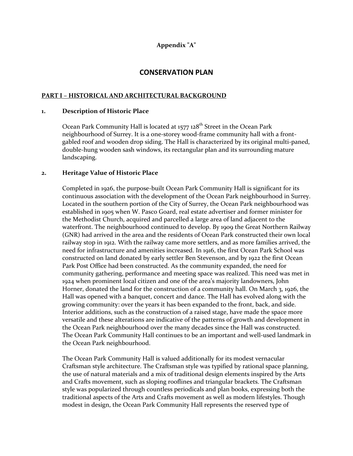# **Appendix "A"**

# **CONSERVATION PLAN**

#### **PART I – HISTORICAL AND ARCHITECTURAL BACKGROUND**

#### **1. Description of Historic Place**

Ocean Park Community Hall is located at 1577 128<sup>th</sup> Street in the Ocean Park neighbourhood of Surrey. It is a one-storey wood-frame community hall with a frontgabled roof and wooden drop siding. The Hall is characterized by its original multi-paned, double-hung wooden sash windows, its rectangular plan and its surrounding mature landscaping.

#### **2. Heritage Value of Historic Place**

Completed in 1926, the purpose-built Ocean Park Community Hall is significant for its continuous association with the development of the Ocean Park neighbourhood in Surrey. Located in the southern portion of the City of Surrey, the Ocean Park neighbourhood was established in 1905 when W. Pasco Goard, real estate advertiser and former minister for the Methodist Church, acquired and parcelled a large area of land adjacent to the waterfront. The neighbourhood continued to develop. By 1909 the Great Northern Railway (GNR) had arrived in the area and the residents of Ocean Park constructed their own local railway stop in 1912. With the railway came more settlers, and as more families arrived, the need for infrastructure and amenities increased. In 1916, the first Ocean Park School was constructed on land donated by early settler Ben Stevenson, and by 1922 the first Ocean Park Post Office had been constructed. As the community expanded, the need for community gathering, performance and meeting space was realized. This need was met in 1924 when prominent local citizen and one of the area's majority landowners, John Horner, donated the land for the construction of a community hall. On March 3, 1926, the Hall was opened with a banquet, concert and dance. The Hall has evolved along with the growing community: over the years it has been expanded to the front, back, and side. Interior additions, such as the construction of a raised stage, have made the space more versatile and these alterations are indicative of the patterns of growth and development in the Ocean Park neighbourhood over the many decades since the Hall was constructed. The Ocean Park Community Hall continues to be an important and well-used landmark in the Ocean Park neighbourhood.

The Ocean Park Community Hall is valued additionally for its modest vernacular Craftsman style architecture. The Craftsman style was typified by rational space planning, the use of natural materials and a mix of traditional design elements inspired by the Arts and Crafts movement, such as sloping rooflines and triangular brackets. The Craftsman style was popularized through countless periodicals and plan books, expressing both the traditional aspects of the Arts and Crafts movement as well as modern lifestyles. Though modest in design, the Ocean Park Community Hall represents the reserved type of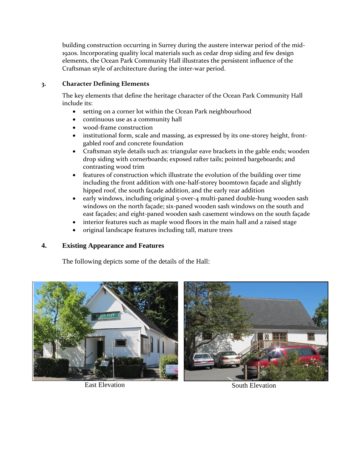building construction occurring in Surrey during the austere interwar period of the mid-1920s. Incorporating quality local materials such as cedar drop siding and few design elements, the Ocean Park Community Hall illustrates the persistent influence of the Craftsman style of architecture during the inter-war period.

# **3. Character Defining Elements**

The key elements that define the heritage character of the Ocean Park Community Hall include its:

- setting on a corner lot within the Ocean Park neighbourhood
- continuous use as a community hall
- wood-frame construction
- institutional form, scale and massing, as expressed by its one-storey height, frontgabled roof and concrete foundation
- Craftsman style details such as: triangular eave brackets in the gable ends; wooden drop siding with cornerboards; exposed rafter tails; pointed bargeboards; and contrasting wood trim
- features of construction which illustrate the evolution of the building over time including the front addition with one-half-storey boomtown façade and slightly hipped roof, the south façade addition, and the early rear addition
- early windows, including original 5-over-4 multi-paned double-hung wooden sash windows on the north façade; six-paned wooden sash windows on the south and east façades; and eight-paned wooden sash casement windows on the south façade
- interior features such as maple wood floors in the main hall and a raised stage
- original landscape features including tall, mature trees

# **4. Existing Appearance and Features**

The following depicts some of the details of the Hall:



East Elevation South Elevation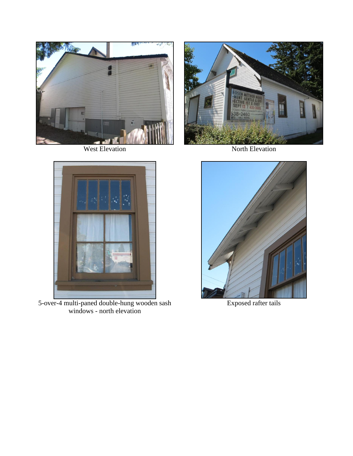



5-over-4 multi-paned double-hung wooden sash windows - north elevation



West Elevation North Elevation



Exposed rafter tails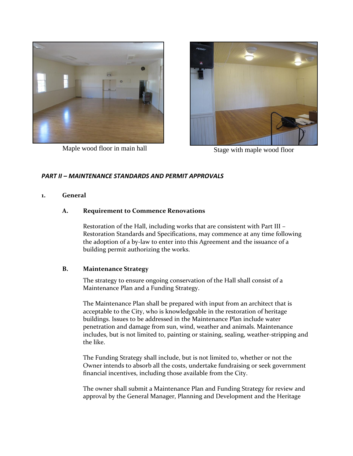

Maple wood floor in main hall Stage with maple wood floor



# *PART II – MAINTENANCE STANDARDS AND PERMIT APPROVALS*

#### **1. General**

### **A. Requirement to Commence Renovations**

Restoration of the Hall, including works that are consistent with Part III – Restoration Standards and Specifications, may commence at any time following the adoption of a by-law to enter into this Agreement and the issuance of a building permit authorizing the works.

#### **B. Maintenance Strategy**

The strategy to ensure ongoing conservation of the Hall shall consist of a Maintenance Plan and a Funding Strategy.

The Maintenance Plan shall be prepared with input from an architect that is acceptable to the City, who is knowledgeable in the restoration of heritage buildings. Issues to be addressed in the Maintenance Plan include water penetration and damage from sun, wind, weather and animals. Maintenance includes, but is not limited to, painting or staining, sealing, weather-stripping and the like.

The Funding Strategy shall include, but is not limited to, whether or not the Owner intends to absorb all the costs, undertake fundraising or seek government financial incentives, including those available from the City.

The owner shall submit a Maintenance Plan and Funding Strategy for review and approval by the General Manager, Planning and Development and the Heritage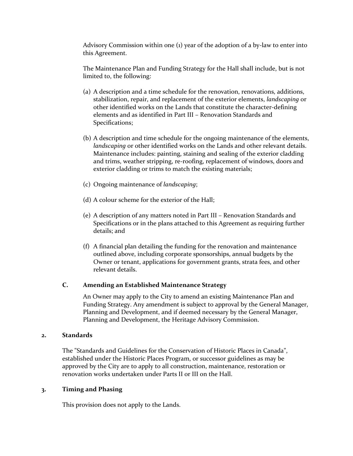Advisory Commission within one (1) year of the adoption of a by-law to enter into this Agreement.

The Maintenance Plan and Funding Strategy for the Hall shall include, but is not limited to, the following:

- (a) A description and a time schedule for the renovation, renovations, additions, stabilization, repair, and replacement of the exterior elements, *landscaping* or other identified works on the Lands that constitute the character-defining elements and as identified in Part III – Renovation Standards and Specifications;
- (b) A description and time schedule for the ongoing maintenance of the elements, *landscaping* or other identified works on the Lands and other relevant details. Maintenance includes: painting, staining and sealing of the exterior cladding and trims, weather stripping, re-roofing, replacement of windows, doors and exterior cladding or trims to match the existing materials;
- (c) Ongoing maintenance of *landscaping*;
- (d) A colour scheme for the exterior of the Hall;
- (e) A description of any matters noted in Part III Renovation Standards and Specifications or in the plans attached to this Agreement as requiring further details; and
- (f) A financial plan detailing the funding for the renovation and maintenance outlined above, including corporate sponsorships, annual budgets by the Owner or tenant, applications for government grants, strata fees, and other relevant details.

### **C. Amending an Established Maintenance Strategy**

An Owner may apply to the City to amend an existing Maintenance Plan and Funding Strategy. Any amendment is subject to approval by the General Manager, Planning and Development, and if deemed necessary by the General Manager, Planning and Development, the Heritage Advisory Commission.

#### **2. Standards**

The "Standards and Guidelines for the Conservation of Historic Places in Canada", established under the Historic Places Program, or successor guidelines as may be approved by the City are to apply to all construction, maintenance, restoration or renovation works undertaken under Parts II or III on the Hall.

### **3. Timing and Phasing**

This provision does not apply to the Lands.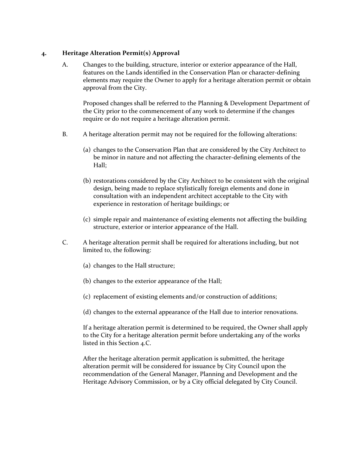### **4. Heritage Alteration Permit(s) Approval**

A. Changes to the building, structure, interior or exterior appearance of the Hall, features on the Lands identified in the Conservation Plan or character-defining elements may require the Owner to apply for a heritage alteration permit or obtain approval from the City.

Proposed changes shall be referred to the Planning & Development Department of the City prior to the commencement of any work to determine if the changes require or do not require a heritage alteration permit.

- B. A heritage alteration permit may not be required for the following alterations:
	- (a) changes to the Conservation Plan that are considered by the City Architect to be minor in nature and not affecting the character-defining elements of the Hall;
	- (b) restorations considered by the City Architect to be consistent with the original design, being made to replace stylistically foreign elements and done in consultation with an independent architect acceptable to the City with experience in restoration of heritage buildings; or
	- (c) simple repair and maintenance of existing elements not affecting the building structure, exterior or interior appearance of the Hall.
- C. A heritage alteration permit shall be required for alterations including, but not limited to, the following:
	- (a) changes to the Hall structure;
	- (b) changes to the exterior appearance of the Hall;
	- (c) replacement of existing elements and/or construction of additions;
	- (d) changes to the external appearance of the Hall due to interior renovations.

If a heritage alteration permit is determined to be required, the Owner shall apply to the City for a heritage alteration permit before undertaking any of the works listed in this Section 4.C.

After the heritage alteration permit application is submitted, the heritage alteration permit will be considered for issuance by City Council upon the recommendation of the General Manager, Planning and Development and the Heritage Advisory Commission, or by a City official delegated by City Council.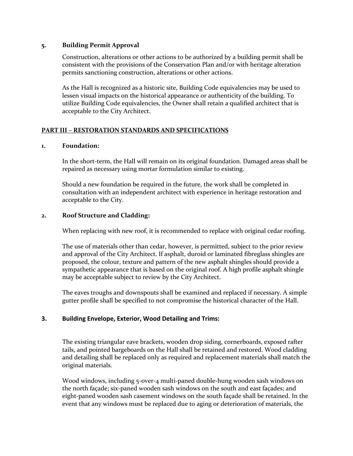#### **5. Building Permit Approval**

Construction, alterations or other actions to be authorized by a building permit shall be consistent with the provisions of the Conservation Plan and/or with heritage alteration permits sanctioning construction, alterations or other actions.

As the Hall is recognized as a historic site, Building Code equivalencies may be used to lessen visual impacts on the historical appearance or authenticity of the building. To utilize Building Code equivalencies, the Owner shall retain a qualified architect that is acceptable to the City Architect.

# **PART III – RESTORATION STANDARDS AND SPECIFICATIONS**

### **1. Foundation:**

In the short-term, the Hall will remain on its original foundation. Damaged areas shall be repaired as necessary using mortar formulation similar to existing.

Should a new foundation be required in the future, the work shall be completed in consultation with an independent architect with experience in heritage restoration and acceptable to the City.

### **2. Roof Structure and Cladding:**

When replacing with new roof, it is recommended to replace with original cedar roofing.

The use of materials other than cedar, however, is permitted, subject to the prior review and approval of the City Architect. If asphalt, duroid or laminated fibreglass shingles are proposed, the colour, texture and pattern of the new asphalt shingles should provide a sympathetic appearance that is based on the original roof. A high profile asphalt shingle may be acceptable subject to review by the City Architect.

The eaves troughs and downspouts shall be examined and replaced if necessary. A simple gutter profile shall be specified to not compromise the historical character of the Hall.

### **3. Building Envelope, Exterior, Wood Detailing and Trims:**

The existing triangular eave brackets, wooden drop siding, cornerboards, exposed rafter tails, and pointed bargeboards on the Hall shall be retained and restored. Wood cladding and detailing shall be replaced only as required and replacement materials shall match the original materials.

Wood windows, including 5-over-4 multi-paned double-hung wooden sash windows on the north façade; six-paned wooden sash windows on the south and east façades; and eight-paned wooden sash casement windows on the south façade shall be retained. In the event that any windows must be replaced due to aging or deterioration of materials, the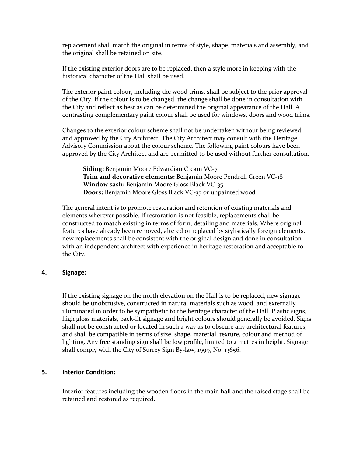replacement shall match the original in terms of style, shape, materials and assembly, and the original shall be retained on site.

If the existing exterior doors are to be replaced, then a style more in keeping with the historical character of the Hall shall be used.

The exterior paint colour, including the wood trims, shall be subject to the prior approval of the City. If the colour is to be changed, the change shall be done in consultation with the City and reflect as best as can be determined the original appearance of the Hall. A contrasting complementary paint colour shall be used for windows, doors and wood trims.

Changes to the exterior colour scheme shall not be undertaken without being reviewed and approved by the City Architect. The City Architect may consult with the Heritage Advisory Commission about the colour scheme. The following paint colours have been approved by the City Architect and are permitted to be used without further consultation.

**Siding:** Benjamin Moore Edwardian Cream VC-7 **Trim and decorative elements:** Benjamin Moore Pendrell Green VC-18 **Window sash:** Benjamin Moore Gloss Black VC-35 **Doors:** Benjamin Moore Gloss Black VC-35 or unpainted wood

The general intent is to promote restoration and retention of existing materials and elements wherever possible. If restoration is not feasible, replacements shall be constructed to match existing in terms of form, detailing and materials. Where original features have already been removed, altered or replaced by stylistically foreign elements, new replacements shall be consistent with the original design and done in consultation with an independent architect with experience in heritage restoration and acceptable to the City.

#### **4. Signage:**

If the existing signage on the north elevation on the Hall is to be replaced, new signage should be unobtrusive, constructed in natural materials such as wood, and externally illuminated in order to be sympathetic to the heritage character of the Hall. Plastic signs, high gloss materials, back-lit signage and bright colours should generally be avoided. Signs shall not be constructed or located in such a way as to obscure any architectural features, and shall be compatible in terms of size, shape, material, texture, colour and method of lighting. Any free standing sign shall be low profile, limited to 2 metres in height. Signage shall comply with the City of Surrey Sign By-law, 1999, No. 13656.

#### **5. Interior Condition:**

Interior features including the wooden floors in the main hall and the raised stage shall be retained and restored as required.